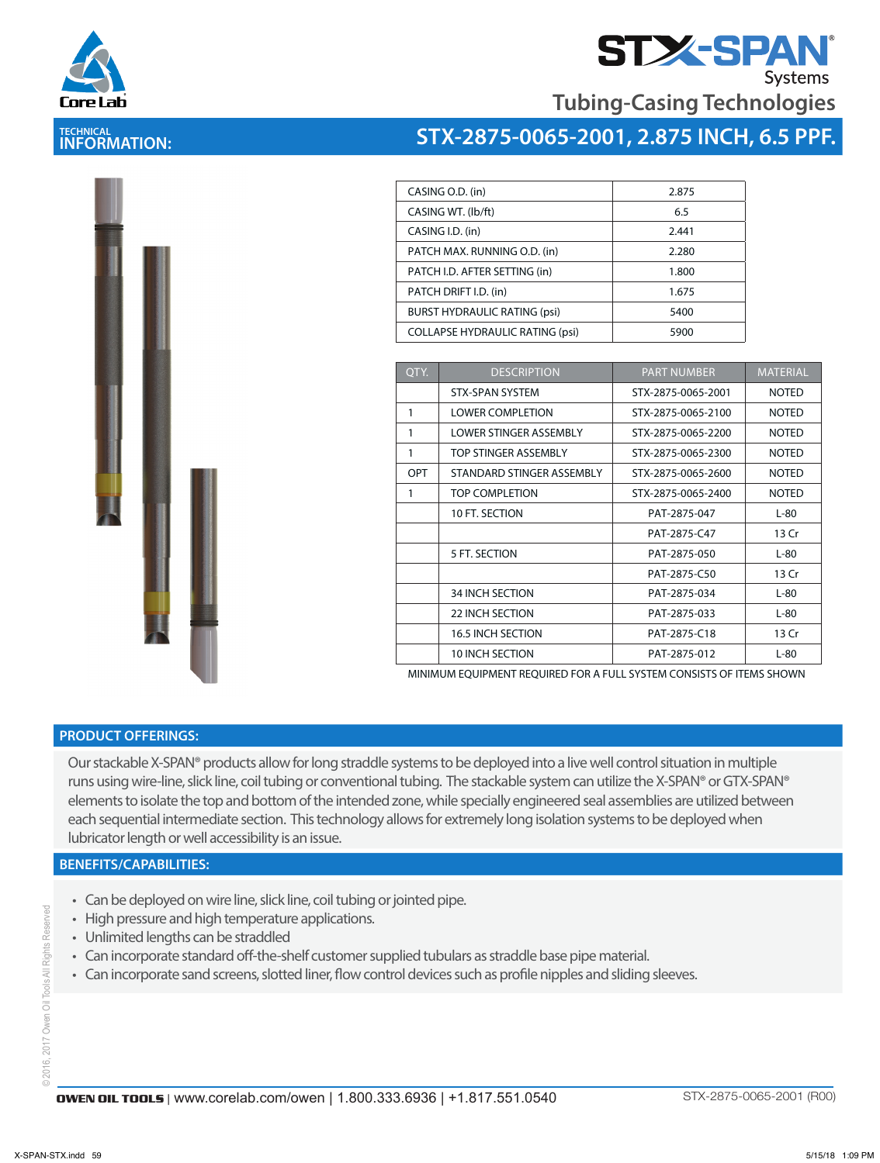



**Tubing-Casing Technologies**

### **TECHNICAL INFORMATION:**



| CASING O.D. (in)                       | 2.875 |
|----------------------------------------|-------|
| CASING WT. (lb/ft)                     | 6.5   |
| CASING I.D. (in)                       | 2.441 |
| PATCH MAX. RUNNING O.D. (in)           | 2.280 |
| PATCH I.D. AFTER SETTING (in)          | 1.800 |
| PATCH DRIFT I.D. (in)                  | 1.675 |
| <b>BURST HYDRAULIC RATING (psi)</b>    | 5400  |
| <b>COLLAPSE HYDRAULIC RATING (psi)</b> | 5900  |
|                                        |       |

| QTY. | <b>DESCRIPTION</b>          | <b>PART NUMBER</b> | <b>MATERIAL</b> |
|------|-----------------------------|--------------------|-----------------|
|      | <b>STX-SPAN SYSTEM</b>      | STX-2875-0065-2001 | <b>NOTED</b>    |
| 1    | <b>LOWER COMPLETION</b>     | STX-2875-0065-2100 | <b>NOTED</b>    |
| 1    | LOWER STINGER ASSEMBLY      | STX-2875-0065-2200 | <b>NOTED</b>    |
| 1    | <b>TOP STINGER ASSEMBLY</b> | STX-2875-0065-2300 | <b>NOTED</b>    |
| OPT  | STANDARD STINGER ASSEMBLY   | STX-2875-0065-2600 | <b>NOTED</b>    |
| 1    | <b>TOP COMPLETION</b>       | STX-2875-0065-2400 | <b>NOTED</b>    |
|      | 10 FT. SECTION              | PAT-2875-047       | $L-80$          |
|      |                             | PAT-2875-C47       | 13 Cr           |
|      | 5 FT. SECTION               | PAT-2875-050       | $L-80$          |
|      |                             | PAT-2875-C50       | 13 Cr           |
|      | <b>34 INCH SECTION</b>      | PAT-2875-034       | $L-80$          |
|      | <b>22 INCH SECTION</b>      | PAT-2875-033       | $L-80$          |
|      | <b>16.5 INCH SECTION</b>    | PAT-2875-C18       | 13 Cr           |
|      | <b>10 INCH SECTION</b>      | PAT-2875-012       | $L-80$          |

MINIMUM EQUIPMENT REQUIRED FOR A FULL SYSTEM CONSISTS OF ITEMS SHOWN

#### **PRODUCT OFFERINGS:**

Our stackable X-SPAN® products allow for long straddle systems to be deployed into a live well control situation in multiple runs using wire-line, slick line, coil tubing or conventional tubing. The stackable system can utilize the X-SPAN® or GTX-SPAN® elements to isolate the top and bottom of the intended zone, while specially engineered seal assemblies are utilized between each sequential intermediate section. This technology allows for extremely long isolation systems to be deployed when lubricator length or well accessibility is an issue.

#### **BENEFITS/CAPABILITIES:**

- Can be deployed on wire line, slick line, coil tubing or jointed pipe.
- High pressure and high temperature applications.
- Unlimited lengths can be straddled
- Can incorporate standard off-the-shelf customer supplied tubulars as straddle base pipe material.
- Can incorporate sand screens, slotted liner, flow control devices such as profile nipples and sliding sleeves.

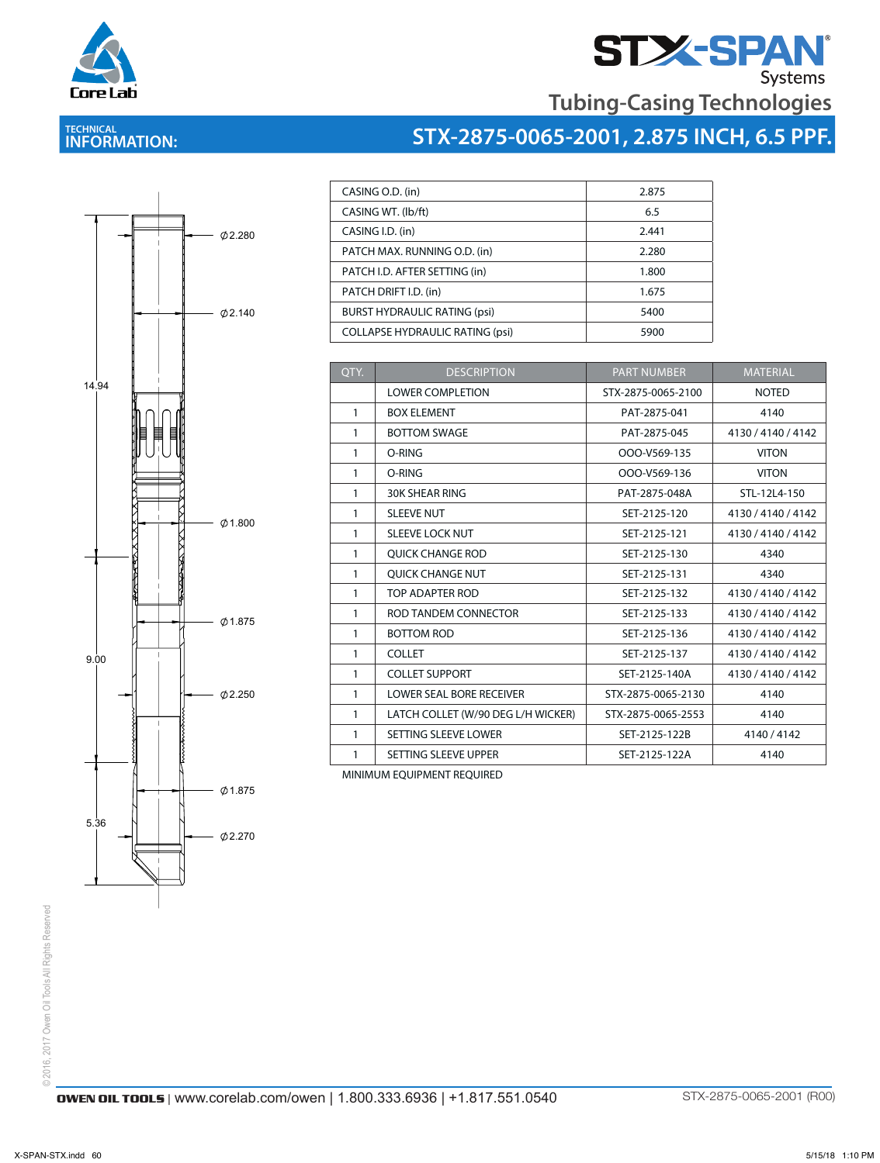

# **STX-SPAN**<br>Tubing-Casing Technologies

### **TECHNICAL INFORMATION:**





| CASING O.D. (in)                       | 2.875 |
|----------------------------------------|-------|
| CASING WT. (lb/ft)                     | 6.5   |
| CASING I.D. (in)                       | 2.441 |
| PATCH MAX. RUNNING O.D. (in)           | 2.280 |
| PATCH I.D. AFTER SETTING (in)          | 1.800 |
| PATCH DRIFT I.D. (in)                  | 1.675 |
| <b>BURST HYDRAULIC RATING (psi)</b>    | 5400  |
| <b>COLLAPSE HYDRAULIC RATING (psi)</b> | 5900  |

| QTY.         | <b>DESCRIPTION</b>                 | <b>PART NUMBER</b> | <b>MATERIAL</b>    |
|--------------|------------------------------------|--------------------|--------------------|
|              | <b>LOWER COMPLETION</b>            | STX-2875-0065-2100 | <b>NOTED</b>       |
| $\mathbf{1}$ | <b>BOX ELEMENT</b>                 | PAT-2875-041       | 4140               |
| 1            | <b>BOTTOM SWAGE</b>                | PAT-2875-045       | 4130 / 4140 / 4142 |
| 1            | O-RING                             | OOO-V569-135       | <b>VITON</b>       |
| 1            | O-RING                             | OOO-V569-136       | <b>VITON</b>       |
| 1            | <b>30K SHEAR RING</b>              | PAT-2875-048A      | STL-12L4-150       |
| $\mathbf{1}$ | <b>SLEEVE NUT</b>                  | SET-2125-120       | 4130 / 4140 / 4142 |
| 1            | <b>SLEEVE LOCK NUT</b>             | SET-2125-121       | 4130 / 4140 / 4142 |
| 1            | <b>OUICK CHANGE ROD</b>            | SET-2125-130       | 4340               |
| 1            | QUICK CHANGE NUT                   | SET-2125-131       | 4340               |
| 1            | TOP ADAPTER ROD                    | SET-2125-132       | 4130 / 4140 / 4142 |
| $\mathbf{1}$ | ROD TANDEM CONNECTOR               | SET-2125-133       | 4130 / 4140 / 4142 |
| 1            | <b>BOTTOM ROD</b>                  | SET-2125-136       | 4130 / 4140 / 4142 |
| 1            | <b>COLLET</b>                      | SET-2125-137       | 4130 / 4140 / 4142 |
| $\mathbf{1}$ | <b>COLLET SUPPORT</b>              | SET-2125-140A      | 4130/4140/4142     |
| 1            | <b>LOWER SEAL BORE RECEIVER</b>    | STX-2875-0065-2130 | 4140               |
| 1            | LATCH COLLET (W/90 DEG L/H WICKER) | STX-2875-0065-2553 | 4140               |
| 1            | SETTING SLEEVE LOWER               | SET-2125-122B      | 4140/4142          |
| 1            | SETTING SLEEVE UPPER               | SET-2125-122A      | 4140               |

MINIMUM EQUIPMENT REQUIRED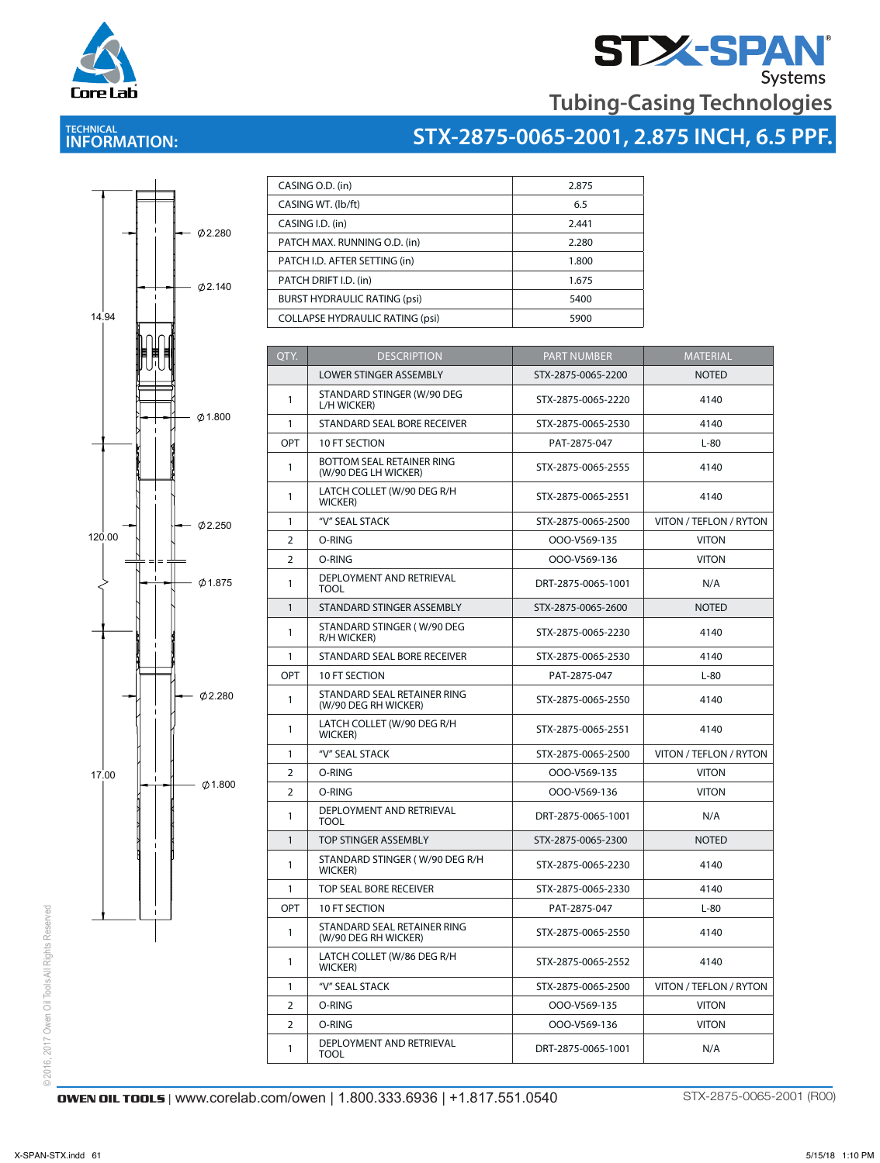



### **TECHNICAL INFORMATION:**

# **STX-2875-0065-2001, 2.875 INCH, 6.5 PPF.**



| CASING O.D. (in)                       | 2.875 |
|----------------------------------------|-------|
| CASING WT. (lb/ft)                     | 6.5   |
| CASING I.D. (in)                       | 2.441 |
| PATCH MAX. RUNNING O.D. (in)           | 2.280 |
| PATCH I.D. AFTER SETTING (in)          | 1.800 |
| PATCH DRIFT I.D. (in)                  | 1.675 |
| <b>BURST HYDRAULIC RATING (psi)</b>    | 5400  |
| <b>COLLAPSE HYDRAULIC RATING (psi)</b> | 5900  |

| QTY.           | <b>DESCRIPTION</b>                                  | <b>PART NUMBER</b> | <b>MATERIAL</b>        |  |
|----------------|-----------------------------------------------------|--------------------|------------------------|--|
|                | <b>LOWER STINGER ASSEMBLY</b>                       | STX-2875-0065-2200 | <b>NOTED</b>           |  |
| 1              | STANDARD STINGER (W/90 DEG<br>L/H WICKER)           | STX-2875-0065-2220 | 4140                   |  |
| 1              | STANDARD SEAL BORE RECEIVER                         | STX-2875-0065-2530 | 4140                   |  |
| OPT            | 10 FT SECTION                                       | PAT-2875-047       | $L-80$                 |  |
| $\mathbf{1}$   | BOTTOM SEAL RETAINER RING<br>(W/90 DEG LH WICKER)   | STX-2875-0065-2555 | 4140                   |  |
| 1              | LATCH COLLET (W/90 DEG R/H<br><b>WICKER</b> )       | STX-2875-0065-2551 | 4140                   |  |
| 1              | "V" SEAL STACK                                      | STX-2875-0065-2500 | VITON / TEFLON / RYTON |  |
| $\overline{2}$ | O-RING                                              | OOO-V569-135       | <b>VITON</b>           |  |
| $\overline{2}$ | O-RING                                              | OOO-V569-136       | <b>VITON</b>           |  |
| 1              | DEPLOYMENT AND RETRIEVAL<br>TOOL                    | DRT-2875-0065-1001 | N/A                    |  |
| 1              | STANDARD STINGER ASSEMBLY                           | STX-2875-0065-2600 | <b>NOTED</b>           |  |
| 1              | STANDARD STINGER (W/90 DEG<br>R/H WICKER)           | STX-2875-0065-2230 | 4140                   |  |
| 1              | STANDARD SEAL BORE RECEIVER                         | STX-2875-0065-2530 | 4140                   |  |
| <b>OPT</b>     | 10 FT SECTION                                       | PAT-2875-047       | $L-80$                 |  |
| 1              | STANDARD SEAL RETAINER RING<br>(W/90 DEG RH WICKER) | STX-2875-0065-2550 | 4140                   |  |
| 1              | LATCH COLLET (W/90 DEG R/H<br><b>WICKER</b> )       | STX-2875-0065-2551 | 4140                   |  |
| 1              | "V" SEAL STACK                                      | STX-2875-0065-2500 | VITON / TEFLON / RYTON |  |
| 2              | O-RING                                              | OOO-V569-135       | <b>VITON</b>           |  |
| $\overline{2}$ | O-RING                                              | OOO-V569-136       | <b>VITON</b>           |  |
| 1              | DEPLOYMENT AND RETRIEVAL<br>TOOL                    | DRT-2875-0065-1001 | N/A                    |  |
| 1              | <b>TOP STINGER ASSEMBLY</b>                         | STX-2875-0065-2300 | <b>NOTED</b>           |  |
| 1              | STANDARD STINGER (W/90 DEG R/H<br><b>WICKER</b> )   | STX-2875-0065-2230 | 4140                   |  |
| 1              | <b>TOP SEAL BORE RECEIVER</b>                       | STX-2875-0065-2330 | 4140                   |  |
| OPT            | 10 FT SECTION                                       | PAT-2875-047       | $L-80$                 |  |
| 1              | STANDARD SEAL RETAINER RING<br>(W/90 DEG RH WICKER) | STX-2875-0065-2550 | 4140                   |  |
| 1              | LATCH COLLET (W/86 DEG R/H<br>WICKER)               | STX-2875-0065-2552 | 4140                   |  |
| 1              | "V" SEAL STACK                                      | STX-2875-0065-2500 | VITON / TEFLON / RYTON |  |
| 2              | O-RING                                              | OOO-V569-135       | <b>VITON</b>           |  |
| 2              | O-RING                                              | OOO-V569-136       | <b>VITON</b>           |  |
| 1              | DEPLOYMENT AND RETRIEVAL<br><b>TOOL</b>             | DRT-2875-0065-1001 | N/A                    |  |
|                |                                                     |                    |                        |  |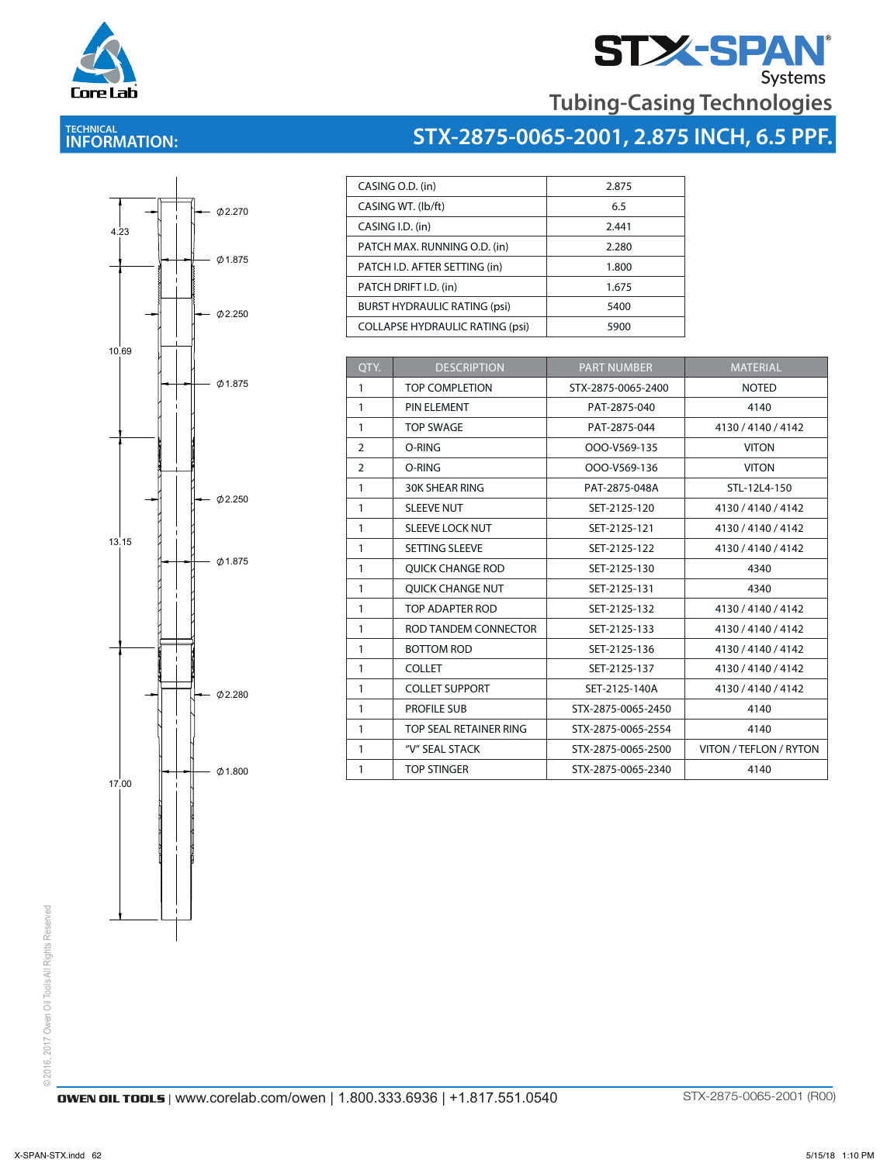

# **STX-SPAN**<br>Tubing-Casing Technologies

### **TECHNICAL INFORMATION:**

 $\overline{\phantom{a}}$ 

## **STX-2875-0065-2001, 2.875 INCH, 6.5 PPF.**

| I<br>4.23                               | 0,2.270<br>$\overline{\phantom{0}}$ |
|-----------------------------------------|-------------------------------------|
|                                         | $-$ Ø 1.875<br>Ï                    |
| <b><i><u><b>Burnalandon</b></u></i></b> | $ \phi$ 2.250                       |
| 10,69                                   | $\varphi$ 1.875                     |
|                                         |                                     |
|                                         | Ï<br>Ø2.250                         |
| 13.15                                   | $\phi$ 1.875                        |
|                                         |                                     |
| <br> }<br> i                            | $\overline{1}$                      |
|                                         | Ø2.280                              |
| 17,00                                   | $\varphi$ 1.800<br>Ï                |
|                                         |                                     |
|                                         |                                     |
|                                         |                                     |

|                  | CASING O.D. (in)                       | 2.875 |
|------------------|----------------------------------------|-------|
|                  | CASING WT. (lb/ft)                     | 6.5   |
| CASING I.D. (in) |                                        | 2.441 |
|                  | PATCH MAX. RUNNING O.D. (in)           | 2.280 |
|                  | PATCH I.D. AFTER SETTING (in)          | 1.800 |
|                  | PATCH DRIFT I.D. (in)                  | 1.675 |
|                  | <b>BURST HYDRAULIC RATING (psi)</b>    | 5400  |
|                  | <b>COLLAPSE HYDRAULIC RATING (psi)</b> | 5900  |

| OTY.           | <b>DESCRIPTION</b>      | <b>PART NUMBER</b> | <b>MATERIAL</b>        |
|----------------|-------------------------|--------------------|------------------------|
| $\mathbf{1}$   | <b>TOP COMPLETION</b>   | STX-2875-0065-2400 | <b>NOTED</b>           |
| 1              | PIN ELEMENT             | PAT-2875-040       | 4140                   |
| $\mathbf{1}$   | <b>TOP SWAGE</b>        | PAT-2875-044       | 4130 / 4140 / 4142     |
| 2              | O-RING                  | OOO-V569-135       | <b>VITON</b>           |
| $\overline{2}$ | O-RING                  | OOO-V569-136       | <b>VITON</b>           |
| $\mathbf{1}$   | <b>30K SHEAR RING</b>   | PAT-2875-048A      | STL-12L4-150           |
| $\mathbf{1}$   | <b>SLEEVE NUT</b>       | SET-2125-120       | 4130 / 4140 / 4142     |
| $\mathbf{1}$   | <b>SLEEVE LOCK NUT</b>  | SET-2125-121       | 4130 / 4140 / 4142     |
| $\mathbf{1}$   | <b>SETTING SLEEVE</b>   | SET-2125-122       | 4130 / 4140 / 4142     |
| $\mathbf{1}$   | <b>OUICK CHANGE ROD</b> | SET-2125-130       | 4340                   |
| $\mathbf{1}$   | <b>OUICK CHANGE NUT</b> | SET-2125-131       | 4340                   |
| $\mathbf{1}$   | TOP ADAPTER ROD         | SET-2125-132       | 4130 / 4140 / 4142     |
| $\mathbf{1}$   | ROD TANDEM CONNECTOR    | SET-2125-133       | 4130 / 4140 / 4142     |
| $\mathbf{1}$   | <b>BOTTOM ROD</b>       | SET-2125-136       | 4130 / 4140 / 4142     |
| $\mathbf{1}$   | <b>COLLET</b>           | SET-2125-137       | 4130 / 4140 / 4142     |
| $\mathbf{1}$   | <b>COLLET SUPPORT</b>   | SET-2125-140A      | 4130 / 4140 / 4142     |
| $\mathbf{1}$   | <b>PROFILE SUB</b>      | STX-2875-0065-2450 | 4140                   |
| $\mathbf{1}$   | TOP SEAL RETAINER RING  | STX-2875-0065-2554 | 4140                   |
| $\mathbf{1}$   | "V" SEAL STACK          | STX-2875-0065-2500 | VITON / TEFLON / RYTON |
| 1              | <b>TOP STINGER</b>      | STX-2875-0065-2340 | 4140                   |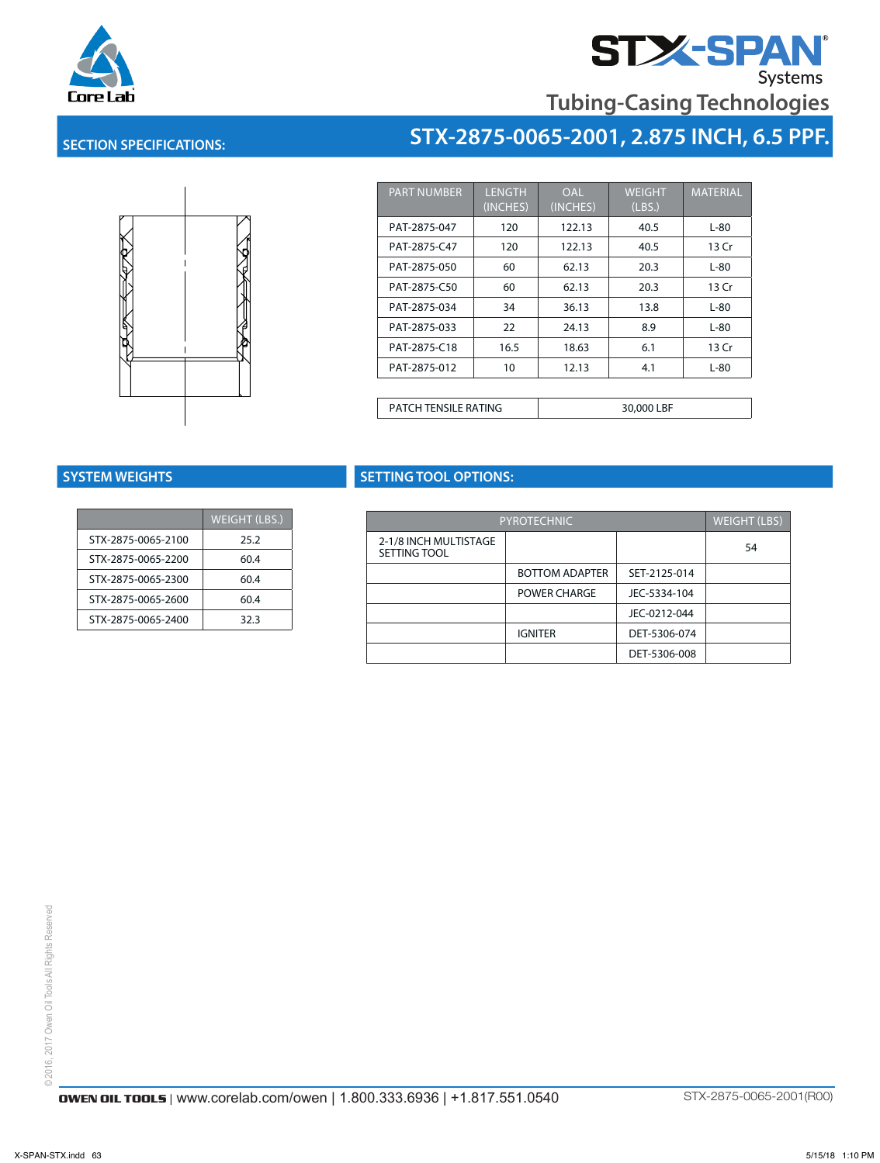

# **STZ-SPAN**<br>Tubing-Casing Technologies

**STX-2875-0065-2001, 2.875 INCH, 6.5 PPF.**

#### **SECTION SPECIFICATIONS:**



| <b>PART NUMBER</b>   | <b>LENGTH</b><br>(INCHES) | OAL<br>(INCHES) | <b>WEIGHT</b><br>(LBS.) | <b>MATERIAL</b> |  |
|----------------------|---------------------------|-----------------|-------------------------|-----------------|--|
| PAT-2875-047         | 120                       | 122.13          | 40.5                    | L-80            |  |
| PAT-2875-C47         | 120                       | 122.13          | 40.5                    | 13 Cr           |  |
| PAT-2875-050         | 60                        | 62.13           | 20.3                    | L-80            |  |
| PAT-2875-C50         | 60                        | 62.13           | 20.3                    | 13 Cr           |  |
| PAT-2875-034         | 34                        | 36.13           | 13.8                    | L-80            |  |
| PAT-2875-033         | 22                        | 24.13           | 8.9                     | L-80            |  |
| PAT-2875-C18         | 16.5                      | 18.63           | 6.1                     | 13 Cr           |  |
| PAT-2875-012         | 10                        | 12.13           | 4.1                     | L-80            |  |
|                      |                           |                 |                         |                 |  |
| PATCH TENSILE RATING |                           | 30,000 LBF      |                         |                 |  |

|                    | <b>WEIGHT (LBS.)</b> |
|--------------------|----------------------|
| STX-2875-0065-2100 | 25.2                 |
| STX-2875-0065-2200 | 60.4                 |
| STX-2875-0065-2300 | 60.4                 |
| STX-2875-0065-2600 | 60.4                 |
| STX-2875-0065-2400 | 32.3                 |

#### **SYSTEM WEIGHTS SETTING TOOL OPTIONS:** PATCH TENSILE RATING 30,000 LBF

| $HT$ (LBS.) | <b>PYROTECHNIC</b>    |                       |              | WEIGHT (LBS) |
|-------------|-----------------------|-----------------------|--------------|--------------|
| 25.2        | 2-1/8 INCH MULTISTAGE |                       |              | 54           |
| 60.4        | SETTING TOOL          |                       |              |              |
| 60.4        |                       | <b>BOTTOM ADAPTER</b> | SET-2125-014 |              |
| 60.4        |                       | <b>POWER CHARGE</b>   | JEC-5334-104 |              |
| 32.3        |                       |                       | JEC-0212-044 |              |
|             |                       | <b>IGNITER</b>        | DET-5306-074 |              |
|             |                       |                       | DET-5306-008 |              |
|             |                       |                       |              |              |